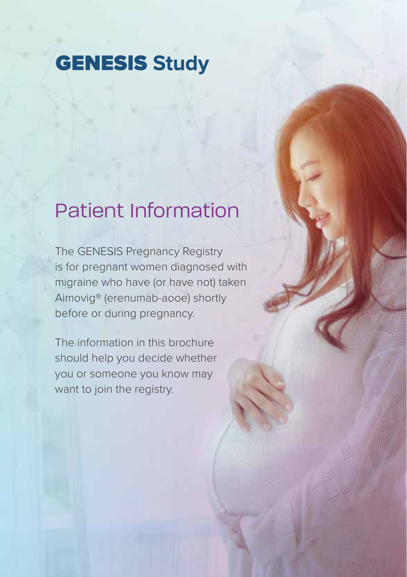## **GENESIS Study**

## Patient Information

The GENESIS Pregnancy Registry is for pregnant women diagnosed with migraine who have (or have not) taken Aimovig® (erenumab-aooe) shortly before or during pregnancy.

The information in this brochure should help you decide whether you or someone you know may want to join the registry.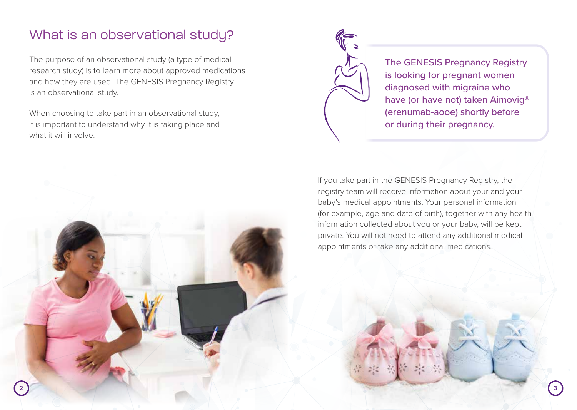### What is an observational study?

The purpose of an observational study (a type of medical research study) is to learn more about approved medications and how they are used. The GENESIS Pregnancy Registry is an observational study.

When choosing to take part in an observational study, it is important to understand why it is taking place and what it will involve.



The GENESIS Pregnancy Registry is looking for pregnant women diagnosed with migraine who have (or have not) taken Aimovig® (erenumab-aooe) shortly before or during their pregnancy.

If you take part in the GENESIS Pregnancy Registry, the registry team will receive information about your and your baby's medical appointments. Your personal information (for example, age and date of birth), together with any health information collected about you or your baby, will be kept private. You will not need to attend any additional medical appointments or take any additional medications.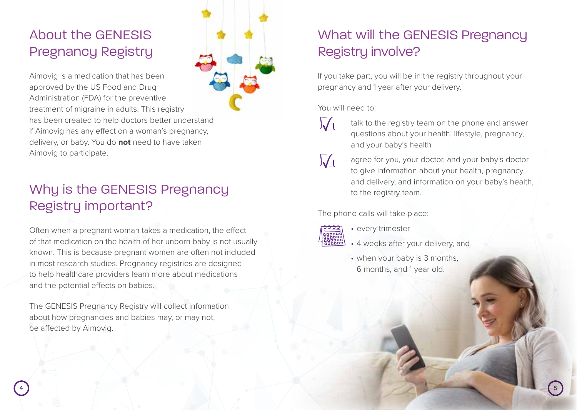# About the GENESIS Pregnancy Registry

Aimovig is a medication that has been approved by the US Food and Drug Administration (FDA) for the preventive treatment of migraine in adults. This registry has been created to help doctors better understand if Aimovig has any effect on a woman's pregnancy, delivery, or baby. You do **not** need to have taken Aimovig to participate.

# Why is the GENESIS Pregnancy Registry important?

Often when a pregnant woman takes a medication, the effect of that medication on the health of her unborn baby is not usually known. This is because pregnant women are often not included in most research studies. Pregnancy registries are designed to help healthcare providers learn more about medications and the potential effects on babies.

The GENESIS Pregnancy Registry will collect information about how pregnancies and babies may, or may not, be affected by Aimovig.

# What will the GENESIS Pregnancy Registry involve?

If you take part, you will be in the registry throughout your pregnancy and 1 year after your delivery.

#### You will need to:

- talk to the registry team on the phone and answer questions about your health, lifestyle, pregnancy, and your baby's health
- 

 $\overline{\mathcal{M}}$ 

 $\sqrt{\overline{\mathcal{N}}}$  agree for you, your doctor, and your baby's doctor to give information about your health, pregnancy, and delivery, and information on your baby's health, to the registry team.

The phone calls will take place:



- every trimester
- 4 weeks after your delivery, and
- when your baby is 3 months, 6 months, and 1 year old.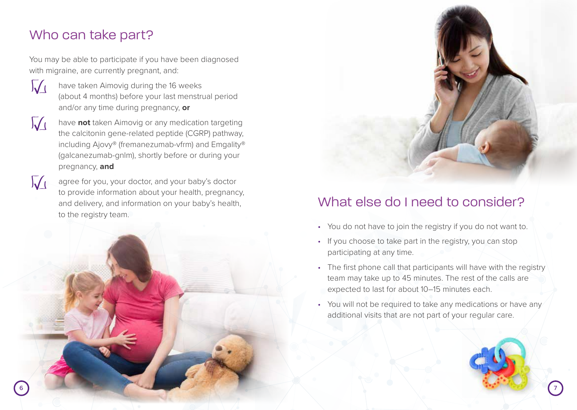#### Who can take part?

You may be able to participate if you have been diagnosed with migraine, are currently pregnant, and:



have taken Aimovig during the 16 weeks (about 4 months) before your last menstrual period and/or any time during pregnancy, **or**



have **not** taken Aimovig or any medication targeting the calcitonin gene-related peptide (CGRP) pathway, including Ajovy® (fremanezumab-vfrm) and Emgality® (galcanezumab-gnlm), shortly before or during your pregnancy, **and**

agree for you, your doctor, and your baby's doctor to provide information about your health, pregnancy, and delivery, and information on your baby's health, to the registry team.





#### What else do I need to consider?

- You do not have to join the registry if you do not want to.
- If you choose to take part in the registry, you can stop participating at any time.
- The first phone call that participants will have with the registry team may take up to 45 minutes. The rest of the calls are expected to last for about 10–15 minutes each.
- You will not be required to take any medications or have any additional visits that are not part of your regular care.